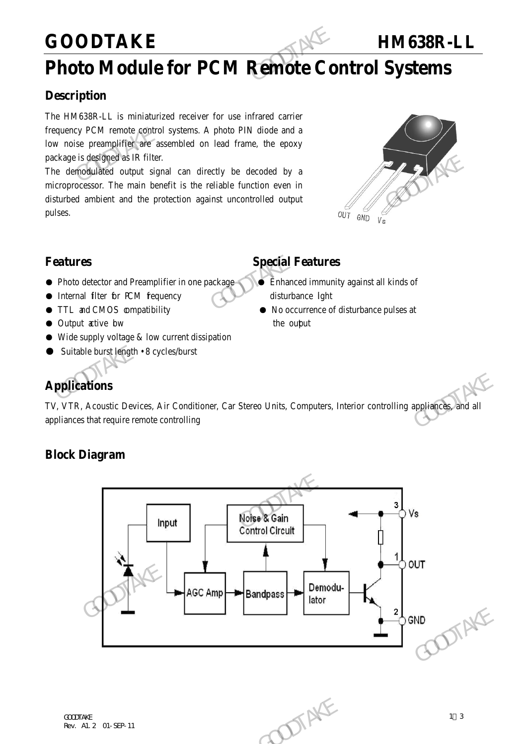## **GOODTAKE HM638R-LL**

## **Photo Module for PCM Remote Control Systems**

## **Description**

The HM638R-LL is miniaturized receiver for use infrared carrier frequency PCM remote control systems. A photo PIN diode and a low noise preamplifier are assembled on lead frame, the epoxy package is designed as IR filter. GOODTAKE<br>
Photo Module for PCM Remote Co<br>
Description<br>
The HM638R-LL is miniaturized receiver for use infrared carrier<br>
frequency PCM remote control systems. A photo PIN diode and a<br>
low noise preamplifier are assembled on

The demodulated output signal can directly be decoded by a microprocessor. The main benefit is the reliable function even in disturbed ambient and the protection against uncontrolled output pulses. The derivative distribution of the distribution of the derivative of the distribution of the method and the protection against uncontrolled output<br>
microprocessor. The main benefit is the reliable function even in<br>
disturb



## **Features Special Features**

- Photo detector and Preamplifier in one package Enhanced immunity against all kinds of
- Internal filter for PCM fequency disturbance light
- 
- Output active bw the output
- $\bullet$  Wide supply voltage & low current dissipation
- Suitable burst length 8 cycles/burst

- 
- TTL and CMOS compatibility No occurrence of disturbance pulses at

## **Applications**

TV, VTR, Acoustic Devices, Air Conditioner, Car Stereo Units, Computers, Interior controlling appliances, and all appliances that require remote controlling

## **Block Diagram**

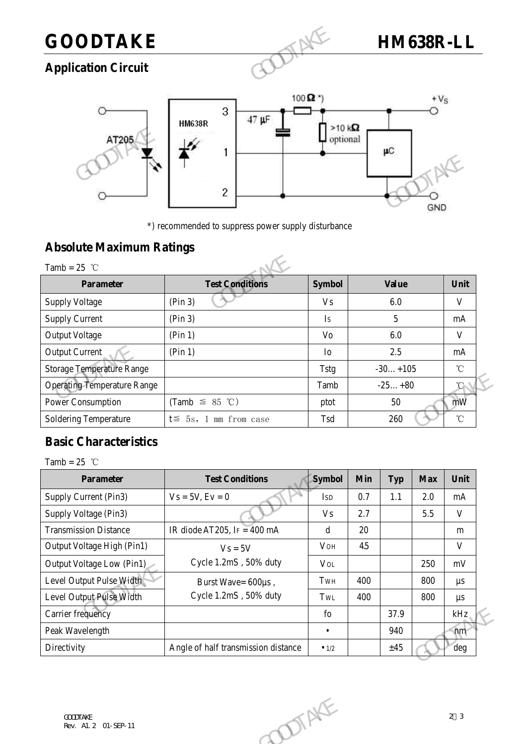## **GOODTAKE HM638R-LL**

## **Application Circuit**



\*) recommended to suppress power supply disturbance

### **Absolute Maximum Ratings**

|                                                   | $\overline{c}$                                      |                | GND          |              |
|---------------------------------------------------|-----------------------------------------------------|----------------|--------------|--------------|
| <b>Absolute Maximum Ratings</b><br>Tamb = $25$ °C | *) recommended to suppress power supply disturbance |                |              |              |
| <b>Parameter</b>                                  | <b>Test Conditions</b>                              | <b>Symbol</b>  | <b>Value</b> | Unit         |
| <b>Supply Voltage</b>                             | (Pin 3)                                             | V <sub>s</sub> | 6.0          | V            |
| <b>Supply Current</b>                             | (Pin 3)                                             | Is             | 5            | mA           |
| <b>Output Voltage</b>                             | (Pin 1)                                             | Vo             | 6.0          | V            |
| <b>Output Current</b>                             | (Pin 1)                                             | I <sub>O</sub> | 2.5          | mA           |
| <b>Storage Temperature Range</b>                  |                                                     | <b>Tstg</b>    | $-30+105$    | $^{\circ}$ C |
| <b>Operating Temperature Range</b>                |                                                     | Tamb           | $-25+80$     | $^{\circ}$ C |
| <b>Power Consumption</b>                          | (Tamb $\leq$ 85 °C)                                 | ptot           | 50           | mW           |
| <b>Soldering Temperature</b>                      | $t \leq 5s$ , 1 mm from case                        | Tsd            | 260          | $^{\circ}$ C |

## **Basic Characteristics**

| <b>Operating Temperature Range</b><br>$-25+80$<br>Tamb<br><b>Power Consumption</b><br>(Tamb $\leq$ 85 °C)<br>50<br>ptot<br><b>Soldering Temperature</b><br>$t \leq 5s$ , 1 mm from case<br>Tsd<br>260<br><b>Basic Characteristics</b> | $^{\circ}$ C<br>mW<br>$^\circ\!{\rm C}$ |
|---------------------------------------------------------------------------------------------------------------------------------------------------------------------------------------------------------------------------------------|-----------------------------------------|
|                                                                                                                                                                                                                                       |                                         |
|                                                                                                                                                                                                                                       |                                         |
|                                                                                                                                                                                                                                       |                                         |
|                                                                                                                                                                                                                                       |                                         |
| Tamb = $25$ °C                                                                                                                                                                                                                        |                                         |
| <b>Test Conditions</b><br><b>Symbol</b><br>Min<br><b>Parameter</b><br><b>Typ</b><br><b>Max</b>                                                                                                                                        | Unit                                    |
| Supply Current (Pin3)<br>$Vs = 5V, Ev = 0$<br>0.7<br>1.1<br>2.0<br><b>ISD</b>                                                                                                                                                         | mA                                      |
| 2.7<br>Supply Voltage (Pin3)<br>5.5<br><b>Vs</b>                                                                                                                                                                                      | $\mathbf{V}$                            |
| <b>Transmission Distance</b><br>IR diode AT205, IF = 400 mA<br>20<br>d                                                                                                                                                                | ${\bf m}$                               |
| Output Voltage High (Pin1)<br>4.5<br><b>VOH</b><br>$Vs = 5V$                                                                                                                                                                          | $\mathbf V$                             |
| Cycle 1.2mS, 50% duty<br>Output Voltage Low (Pin1)<br>250<br><b>VOL</b>                                                                                                                                                               | mV                                      |
| Level Output Pulse Width<br>400<br>800<br>TwH<br>Burst Wave= 600µs,                                                                                                                                                                   | $\mu s$                                 |
| Cycle 1.2mS, 50% duty<br>Level Output Pulse Width<br>800<br>TWL<br>400                                                                                                                                                                | $\mu s$                                 |
| Carrier frequency<br>37.9<br>${\rm fo}$                                                                                                                                                                                               | kHz                                     |
| Peak Wavelength<br>940<br>$\bullet$                                                                                                                                                                                                   | nm                                      |
| Directivity<br>Angle of half transmission distance<br>±45<br>$\bullet$ 1/2                                                                                                                                                            | deg                                     |